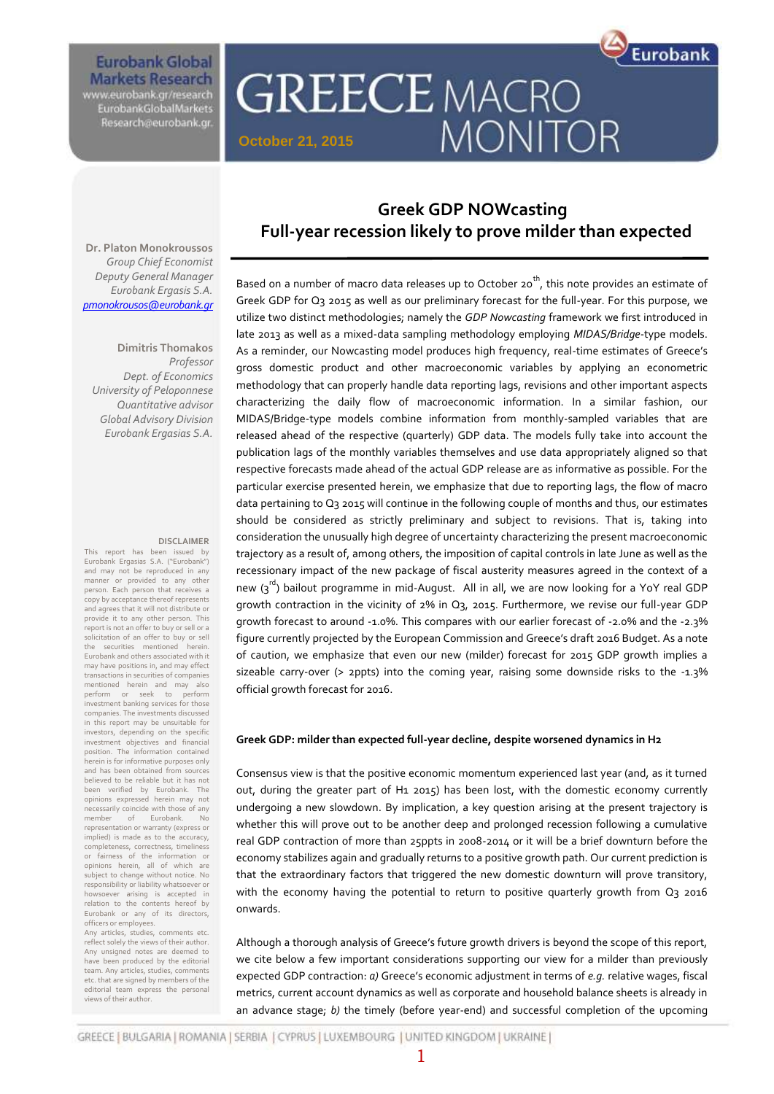

**Eurobank Global Markets Research** 

www.eurobank.gr/research<br>EurobankGlobalMarkets Research@eurobank.gr

# **GREECE MACRO** MONITOR **October 21, 2015**

**Dr. Platon Monokroussos** *Group Chief Economist Deputy General Manager Eurobank Ergasis S.A. [pmonokrousos@eurobank.gr](mailto:pmonokrousos@eurobank.gr)*

**Dimitris Thomakos** *Professor Dept. of Economics University of Peloponnese Quantitative advisor Global Advisory Division Eurobank Ergasias S.A.*

#### **DISCLAIMER**

This report has been issued by Eurobank Ergasias S.A. ("Eurobank") and may not be reproduced in any manner or provided to any other person. Each person that receives a copy by acceptance thereof represents and agrees that it will not distribute or provide it to any other person. This report is not an offer to buy or sell or a solicitation of an offer to buy or sell the securities mentioned herein. Eurobank and others associated with it may have positions in, and may effect transactions in securities of companies<br>mentioned herein and may also mentioned herein and may also<br>perform or seek to perform perform or seek to perform investment banking services for those companies. The investments discussed in this report may be unsuitable for investors, depending on the specific investment objectives and financial position. The information contained herein is for informative purposes only and has been obtained from sources believed to be reliable but it has not been verified by Eurobank. The opinions expressed herein may not necessarily coincide with those of any member of Eurobank. No representation or warranty (express or implied) is made as to the accuracy, completeness, correctness, timeliness or fairness of the information or opinions herein, all of which are subject to change without notice. No responsibility or liability whatsoever or howsoever arising is accepted in relation to the contents hereof by Eurobank or any of its directors, officers or employees.

Any articles, studies, comments etc. reflect solely the views of their author. Any unsigned notes are deemed to have been produced by the editorial team. Any articles, studies, comments etc. that are signed by members of the editorial team express the personal views of their author.

### **Greek GDP NOWcasting Full-year recession likely to prove milder than expected**

Based on a number of macro data releases up to October 20<sup>th</sup>, this note provides an estimate of Greek GDP for Q3 2015 as well as our preliminary forecast for the full-year. For this purpose, we utilize two distinct methodologies; namely the *GDP Nowcasting* framework we first introduced in late 2013 as well as a mixed-data sampling methodology employing *MIDAS/Bridge*-type models. As a reminder, our Nowcasting model produces high frequency, real-time estimates of Greece's gross domestic product and other macroeconomic variables by applying an econometric methodology that can properly handle data reporting lags, revisions and other important aspects characterizing the daily flow of macroeconomic information. In a similar fashion, our MIDAS/Bridge-type models combine information from monthly-sampled variables that are released ahead of the respective (quarterly) GDP data. The models fully take into account the publication lags of the monthly variables themselves and use data appropriately aligned so that respective forecasts made ahead of the actual GDP release are as informative as possible. For the particular exercise presented herein, we emphasize that due to reporting lags, the flow of macro data pertaining to Q3 2015 will continue in the following couple of months and thus, our estimates should be considered as strictly preliminary and subject to revisions. That is, taking into consideration the unusually high degree of uncertainty characterizing the present macroeconomic trajectory as a result of, among others, the imposition of capital controls in late June as well as the recessionary impact of the new package of fiscal austerity measures agreed in the context of a new  $(s^{rd})$  bailout programme in mid-August. All in all, we are now looking for a YoY real GDP growth contraction in the vicinity of 2% in Q3, 2015. Furthermore, we revise our full-year GDP growth forecast to around -1.0%. This compares with our earlier forecast of -2.0% and the -2.3% figure currently projected by the European Commission and Greece's draft 2016 Budget. As a note of caution, we emphasize that even our new (milder) forecast for 2015 GDP growth implies a sizeable carry-over (> 2ppts) into the coming year, raising some downside risks to the -1.3% official growth forecast for 2016.

#### **Greek GDP: milder than expected full-year decline, despite worsened dynamics in H2**

Consensus view is that the positive economic momentum experienced last year (and, as it turned out, during the greater part of H1 2015) has been lost, with the domestic economy currently undergoing a new slowdown. By implication, a key question arising at the present trajectory is whether this will prove out to be another deep and prolonged recession following a cumulative real GDP contraction of more than 25ppts in 2008-2014 or it will be a brief downturn before the economy stabilizes again and gradually returns to a positive growth path. Our current prediction is that the extraordinary factors that triggered the new domestic downturn will prove transitory, with the economy having the potential to return to positive quarterly growth from Q3 2016 onwards.

Although a thorough analysis of Greece's future growth drivers is beyond the scope of this report, we cite below a few important considerations supporting our view for a milder than previously expected GDP contraction: *a)* Greece's economic adjustment in terms of *e.g.* relative wages, fiscal metrics, current account dynamics as well as corporate and household balance sheets is already in an advance stage; *b)* the timely (before year-end) and successful completion of the upcoming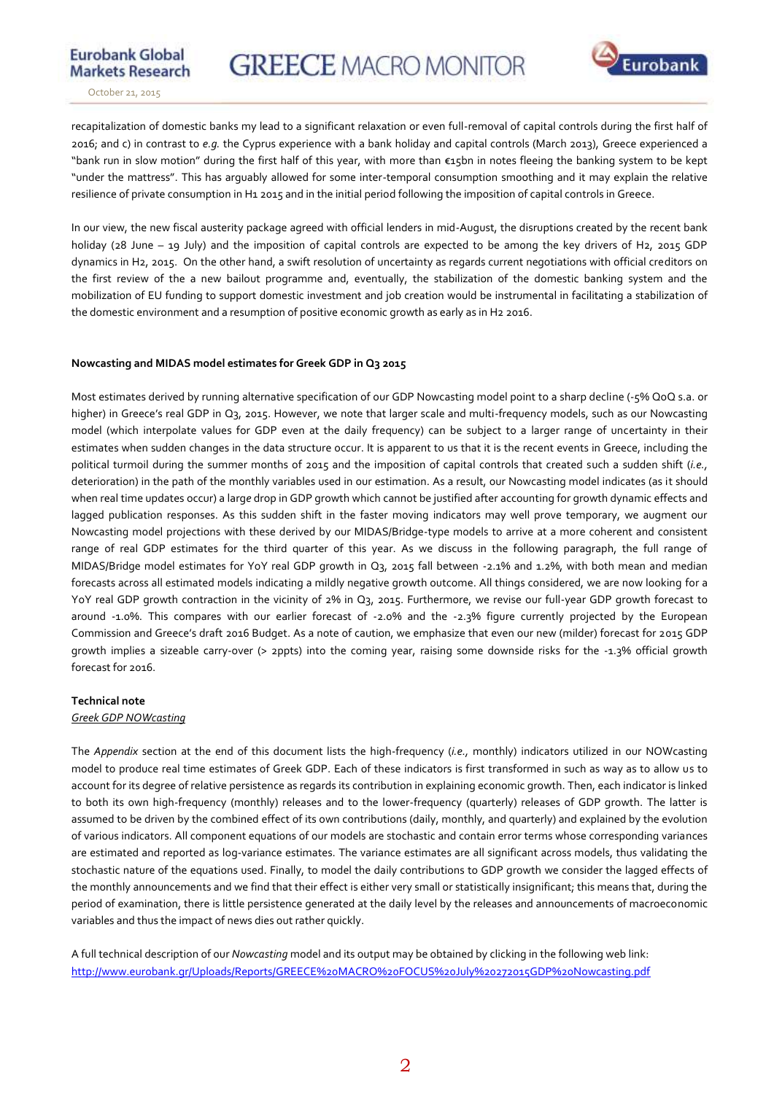

**Markets Research** October 21, 2015

**Eurobank Global** 

recapitalization of domestic banks my lead to a significant relaxation or even full-removal of capital controls during the first half of 2016; and c) in contrast to *e.g.* the Cyprus experience with a bank holiday and capital controls (March 2013), Greece experienced a "bank run in slow motion" during the first half of this year, with more than €15bn in notes fleeing the banking system to be kept "under the mattress". This has arguably allowed for some inter-temporal consumption smoothing and it may explain the relative resilience of private consumption in H1 2015 and in the initial period following the imposition of capital controls in Greece.

In our view, the new fiscal austerity package agreed with official lenders in mid-August, the disruptions created by the recent bank holiday (28 June – 19 July) and the imposition of capital controls are expected to be among the key drivers of H2, 2015 GDP dynamics in H2, 2015. On the other hand, a swift resolution of uncertainty as regards current negotiations with official creditors on the first review of the a new bailout programme and, eventually, the stabilization of the domestic banking system and the mobilization of EU funding to support domestic investment and job creation would be instrumental in facilitating a stabilization of the domestic environment and a resumption of positive economic growth as early as in H2 2016.

#### **Nowcasting and MIDAS model estimates for Greek GDP in Q3 2015**

Most estimates derived by running alternative specification of our GDP Nowcasting model point to a sharp decline (-5% QoQ s.a. or higher) in Greece's real GDP in Q3, 2015. However, we note that larger scale and multi-frequency models, such as our Nowcasting model (which interpolate values for GDP even at the daily frequency) can be subject to a larger range of uncertainty in their estimates when sudden changes in the data structure occur. It is apparent to us that it is the recent events in Greece, including the political turmoil during the summer months of 2015 and the imposition of capital controls that created such a sudden shift (*i.e.,* deterioration) in the path of the monthly variables used in our estimation. As a result, our Nowcasting model indicates (as it should when real time updates occur) a larg*e* drop in GDP growth which cannot be justified after accounting for growth dynamic effects and lagged publication responses. As this sudden shift in the faster moving indicators may well prove temporary, we augment our Nowcasting model projections with these derived by our MIDAS/Bridge-type models to arrive at a more coherent and consistent range of real GDP estimates for the third quarter of this year. As we discuss in the following paragraph, the full range of MIDAS/Bridge model estimates for YoY real GDP growth in Q3, 2015 fall between -2.1% and 1.2%, with both mean and median forecasts across all estimated models indicating a mildly negative growth outcome. All things considered, we are now looking for a YoY real GDP growth contraction in the vicinity of 2% in Q3, 2015. Furthermore, we revise our full-year GDP growth forecast to around -1.0%. This compares with our earlier forecast of -2.0% and the -2.3% figure currently projected by the European Commission and Greece's draft 2016 Budget. As a note of caution, we emphasize that even our new (milder) forecast for 2015 GDP growth implies a sizeable carry-over (> 2ppts) into the coming year, raising some downside risks for the -1.3% official growth forecast for 2016.

#### **Technical note**

#### *Greek GDP NOWcasting*

The *Appendix* section at the end of this document lists the high-frequency (*i.e.,* monthly) indicators utilized in our NOWcasting model to produce real time estimates of Greek GDP. Each of these indicators is first transformed in such as way as to allow us to account for its degree of relative persistence as regards its contribution in explaining economic growth. Then, each indicator is linked to both its own high-frequency (monthly) releases and to the lower-frequency (quarterly) releases of GDP growth. The latter is assumed to be driven by the combined effect of its own contributions (daily, monthly, and quarterly) and explained by the evolution of various indicators. All component equations of our models are stochastic and contain error terms whose corresponding variances are estimated and reported as log-variance estimates. The variance estimates are all significant across models, thus validating the stochastic nature of the equations used. Finally, to model the daily contributions to GDP growth we consider the lagged effects of the monthly announcements and we find that their effect is either very small or statistically insignificant; this means that, during the period of examination, there is little persistence generated at the daily level by the releases and announcements of macroeconomic variables and thus the impact of news dies out rather quickly.

A full technical description of our *Nowcasting* model and its output may be obtained by clicking in the following web link: <http://www.eurobank.gr/Uploads/Reports/GREECE%20MACRO%20FOCUS%20July%20272015GDP%20Nowcasting.pdf>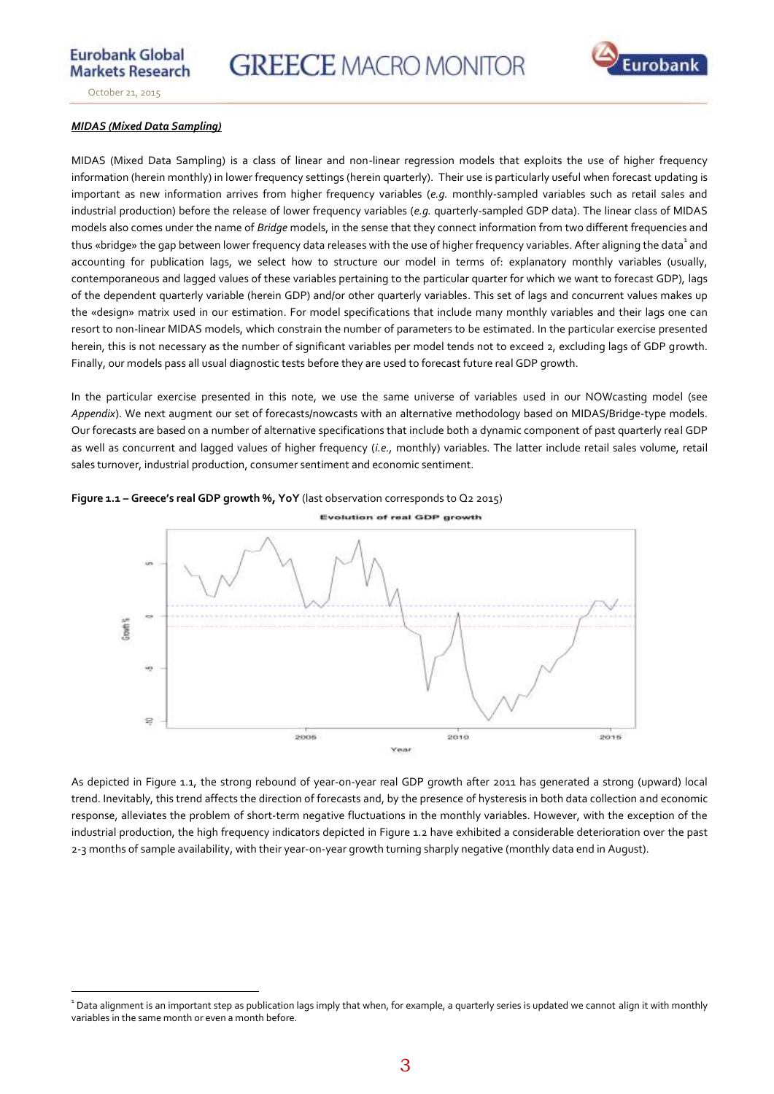

**Markets Research** October 21, 2015

**Eurobank Global** 

#### *MIDAS (Mixed Data Sampling)*

MIDAS (Mixed Data Sampling) is a class of linear and non-linear regression models that exploits the use of higher frequency information (herein monthly) in lower frequency settings (herein quarterly). Their use is particularly useful when forecast updating is important as new information arrives from higher frequency variables (*e.g.* monthly-sampled variables such as retail sales and industrial production) before the release of lower frequency variables (*e.g.* quarterly-sampled GDP data). The linear class of MIDAS models also comes under the name of *Bridge* models, in the sense that they connect information from two different frequencies and thus «bridge» the gap between lower frequency data releases with the use of higher frequency variables. After aligning the data $^{\rm 1}$  and accounting for publication lags, we select how to structure our model in terms of: explanatory monthly variables (usually, contemporaneous and lagged values of these variables pertaining to the particular quarter for which we want to forecast GDP), lags of the dependent quarterly variable (herein GDP) and/or other quarterly variables. This set of lags and concurrent values makes up the «design» matrix used in our estimation. For model specifications that include many monthly variables and their lags one can resort to non-linear MIDAS models, which constrain the number of parameters to be estimated. In the particular exercise presented herein, this is not necessary as the number of significant variables per model tends not to exceed 2, excluding lags of GDP growth. Finally, our models pass all usual diagnostic tests before they are used to forecast future real GDP growth.

In the particular exercise presented in this note, we use the same universe of variables used in our NOWcasting model (see *Appendix*). We next augment our set of forecasts/nowcasts with an alternative methodology based on MIDAS/Bridge-type models. Our forecasts are based on a number of alternative specifications that include both a dynamic component of past quarterly real GDP as well as concurrent and lagged values of higher frequency (*i.e.,* monthly) variables. The latter include retail sales volume, retail sales turnover, industrial production, consumer sentiment and economic sentiment.



**Figure 1.1 – Greece's real GDP growth %, YoY** (last observation corresponds to Q2 2015)

As depicted in Figure 1.1, the strong rebound of year-on-year real GDP growth after 2011 has generated a strong (upward) local trend. Inevitably, this trend affects the direction of forecasts and, by the presence of hysteresis in both data collection and economic response, alleviates the problem of short-term negative fluctuations in the monthly variables. However, with the exception of the industrial production, the high frequency indicators depicted in Figure 1.2 have exhibited a considerable deterioration over the past 2-3 months of sample availability, with their year-on-year growth turning sharply negative (monthly data end in August).

 $\overline{a}$  $1$  Data alignment is an important step as publication lags imply that when, for example, a quarterly series is updated we cannot align it with monthly variables in the same month or even a month before.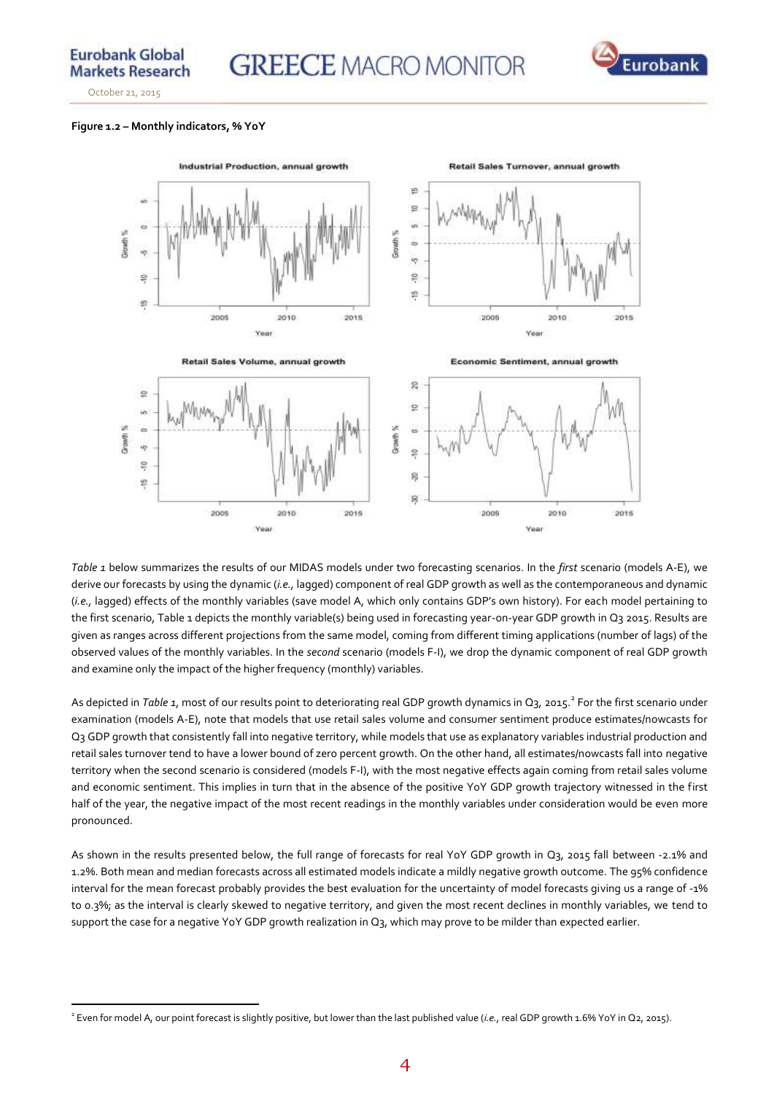

#### **Figure 1.2 – Monthly indicators, % YoY**



*Table 1* below summarizes the results of our MIDAS models under two forecasting scenarios. In the *first* scenario (models A-E), we derive our forecasts by using the dynamic (*i.e.,* lagged) component of real GDP growth as well as the contemporaneous and dynamic (*i.e.,* lagged) effects of the monthly variables (save model A, which only contains GDP's own history). For each model pertaining to the first scenario, Table 1 depicts the monthly variable(s) being used in forecasting year-on-year GDP growth in Q3 2015. Results are given as ranges across different projections from the same model, coming from different timing applications (number of lags) of the observed values of the monthly variables. In the *second* scenario (models F-I), we drop the dynamic component of real GDP growth and examine only the impact of the higher frequency (monthly) variables.

As depicted in *Table 1*, most of our results point to deteriorating real GDP growth dynamics in Q3, 2015.<sup>2</sup> For the first scenario under examination (models A-E), note that models that use retail sales volume and consumer sentiment produce estimates/nowcasts for Q3 GDP growth that consistently fall into negative territory, while models that use as explanatory variables industrial production and retail sales turnover tend to have a lower bound of zero percent growth. On the other hand, all estimates/nowcasts fall into negative territory when the second scenario is considered (models F-I), with the most negative effects again coming from retail sales volume and economic sentiment. This implies in turn that in the absence of the positive YoY GDP growth trajectory witnessed in the first half of the year, the negative impact of the most recent readings in the monthly variables under consideration would be even more pronounced.

As shown in the results presented below, the full range of forecasts for real YoY GDP growth in Q3, 2015 fall between -2.1% and 1.2%. Both mean and median forecasts across all estimated models indicate a mildly negative growth outcome. The 95% confidence interval for the mean forecast probably provides the best evaluation for the uncertainty of model forecasts giving us a range of -1% to 0.3%; as the interval is clearly skewed to negative territory, and given the most recent declines in monthly variables, we tend to support the case for a negative YoY GDP growth realization in Q<sub>3</sub>, which may prove to be milder than expected earlier.

 $\overline{a}$ 2 Even for model A, our point forecast is slightly positive, but lower than the last published value (*i.e.,* real GDP growth 1.6% YoY in Q2, 2015).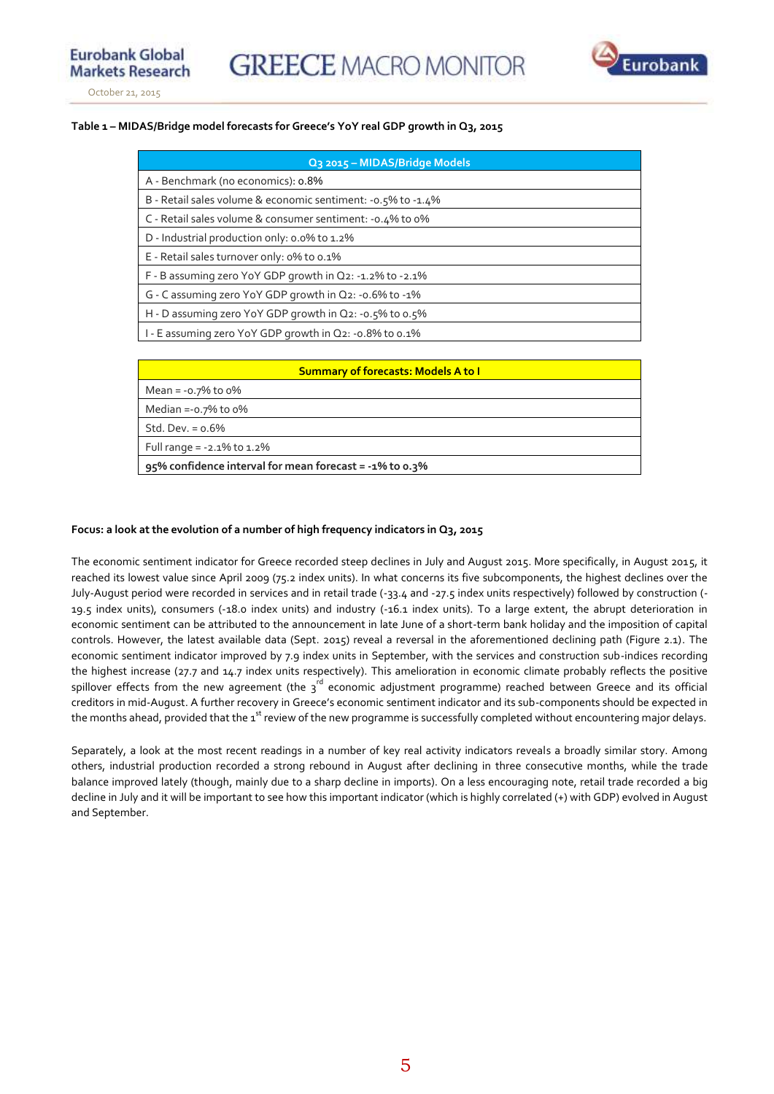

#### **Table 1 – MIDAS/Bridge model forecasts for Greece's YoY real GDP growth in Q3, 2015**

| Q3 2015 - MIDAS/Bridge Models                                  |
|----------------------------------------------------------------|
| A - Benchmark (no economics): 0.8%                             |
| B - Retail sales volume & economic sentiment: - 0.5% to - 1.4% |
| C - Retail sales volume & consumer sentiment: -0.4% to 0%      |
| D - Industrial production only: 0.0% to 1.2%                   |
| E - Retail sales turnover only: 0% to 0.1%                     |
| F - B assuming zero YoY GDP growth in Q2: -1.2% to -2.1%       |
| G - C assuming zero YoY GDP growth in Q2: -0.6% to -1%         |
| H - D assuming zero YoY GDP growth in $Q_2$ : -0.5% to 0.5%    |
| 1 - E assuming zero YoY GDP growth in Q2: -0.8% to 0.1%        |

| <b>Summary of forecasts: Models A to I</b>              |  |  |  |  |  |
|---------------------------------------------------------|--|--|--|--|--|
| Mean = $-0.7\%$ to $0\%$                                |  |  |  |  |  |
| Median =-0.7% to $0\%$                                  |  |  |  |  |  |
| Std. Dev. $= 0.6\%$                                     |  |  |  |  |  |
| Full range = $-2.1\%$ to 1.2%                           |  |  |  |  |  |
| 95% confidence interval for mean forecast = -1% to 0.3% |  |  |  |  |  |

#### **Focus: a look at the evolution of a number of high frequency indicators in Q3, 2015**

The economic sentiment indicator for Greece recorded steep declines in July and August 2015. More specifically, in August 2015, it reached its lowest value since April 2009 (75.2 index units). In what concerns its five subcomponents, the highest declines over the July-August period were recorded in services and in retail trade (-33.4 and -27.5 index units respectively) followed by construction (- 19.5 index units), consumers (-18.0 index units) and industry (-16.1 index units). To a large extent, the abrupt deterioration in economic sentiment can be attributed to the announcement in late June of a short-term bank holiday and the imposition of capital controls. However, the latest available data (Sept. 2015) reveal a reversal in the aforementioned declining path (Figure 2.1). The economic sentiment indicator improved by 7.9 index units in September, with the services and construction sub-indices recording the highest increase (27.7 and 14.7 index units respectively). This amelioration in economic climate probably reflects the positive spillover effects from the new agreement (the  $3^{rd}$  economic adjustment programme) reached between Greece and its official creditors in mid-August. A further recovery in Greece's economic sentiment indicator and its sub-components should be expected in the months ahead, provided that the  $1<sup>st</sup>$  review of the new programme is successfully completed without encountering major delays.

Separately, a look at the most recent readings in a number of key real activity indicators reveals a broadly similar story. Among others, industrial production recorded a strong rebound in August after declining in three consecutive months, while the trade balance improved lately (though, mainly due to a sharp decline in imports). On a less encouraging note, retail trade recorded a big decline in July and it will be important to see how this important indicator (which is highly correlated (+) with GDP) evolved in August and September.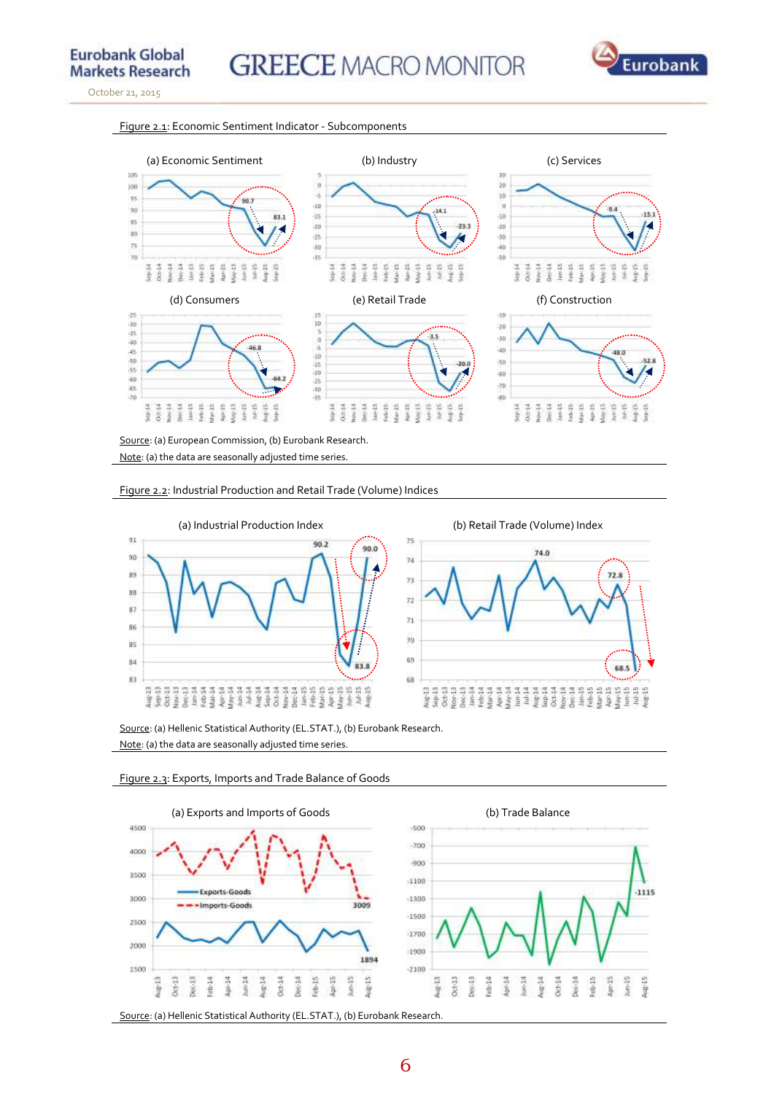

#### Figure 2.1: Economic Sentiment Indicator - Subcomponents



Source: (a) European Commission, (b) Eurobank Research. Note: (a) the data are seasonally adjusted time series





Source: (a) Hellenic Statistical Authority (EL.STAT.), (b) Eurobank Research. Note: (a) the data are seasonally adjusted time series.



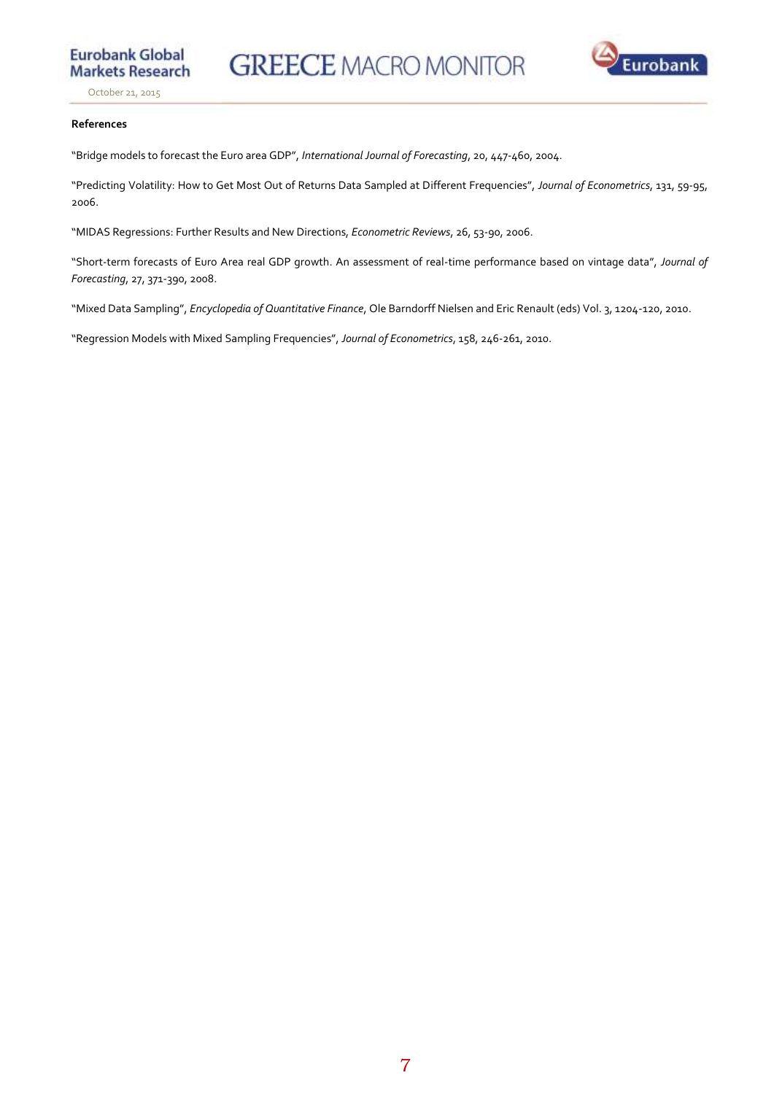

**Eurobank Global** 

**Markets Research** 

#### **References**

"Bridge models to forecast the Euro area GDP", *International Journal of Forecasting*, 20, 447-460, 2004.

"Predicting Volatility: How to Get Most Out of Returns Data Sampled at Different Frequencies", *Journal of Econometrics*, 131, 59-95, 2006.

"MIDAS Regressions: Further Results and New Directions, *Econometric Reviews*, 26, 53-90, 2006.

"Short-term forecasts of Euro Area real GDP growth. An assessment of real-time performance based on vintage data", *Journal of Forecasting*, 27, 371-390, 2008.

"Mixed Data Sampling", *Encyclopedia of Quantitative Finance*, Ole Barndorff Nielsen and Eric Renault (eds) Vol. 3, 1204-120, 2010.

"Regression Models with Mixed Sampling Frequencies", *Journal of Econometrics*, 158, 246-261, 2010.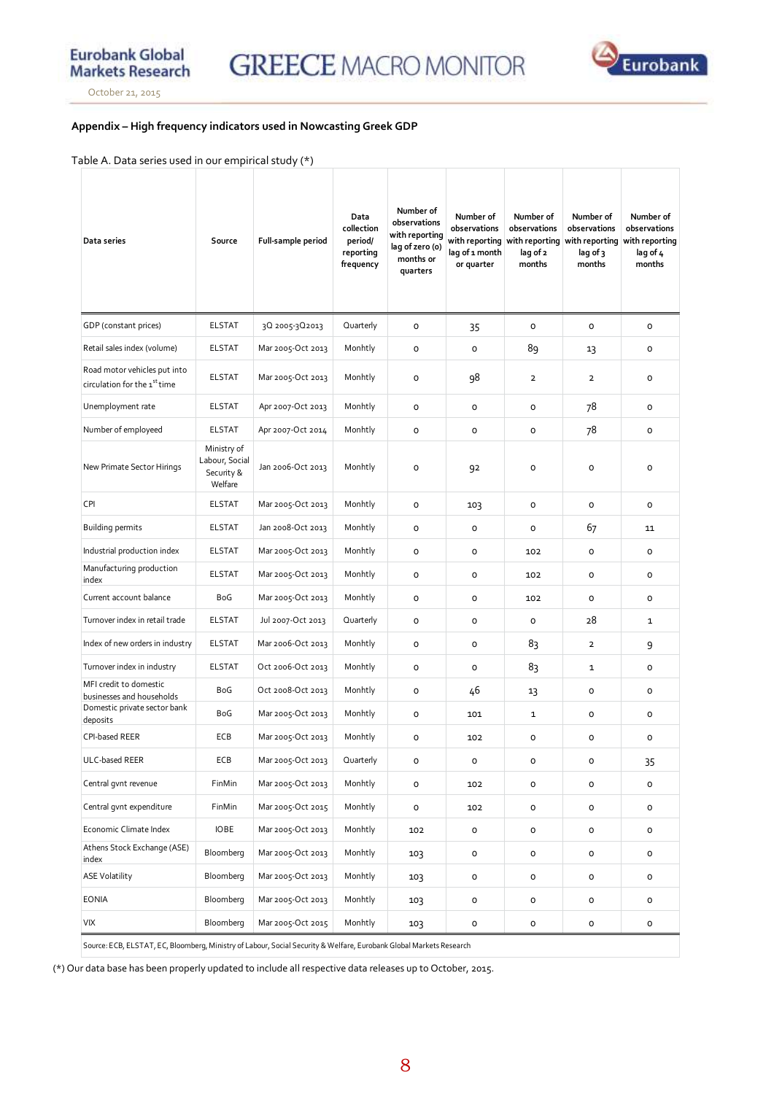

#### **Appendix – High frequency indicators used in Nowcasting Greek GDP**

#### Table A. Data series used in our empirical study (\*)

| Data series                                                              | Source                                                 | Full-sample period | Data<br>collection<br>period/<br>reporting<br>frequency | Number of<br>observations<br>with reporting<br>lag of zero (o)<br>months or<br>quarters | Number of<br>observations<br>with reporting<br>lag of 1 month<br>or quarter | Number of<br>observations<br>with reporting<br>lag of 2<br>months | Number of<br>observations<br>with reporting<br>lag of 3<br>months | Number of<br>observations<br>with reporting<br>lag of 4<br>months |
|--------------------------------------------------------------------------|--------------------------------------------------------|--------------------|---------------------------------------------------------|-----------------------------------------------------------------------------------------|-----------------------------------------------------------------------------|-------------------------------------------------------------------|-------------------------------------------------------------------|-------------------------------------------------------------------|
| GDP (constant prices)                                                    | <b>ELSTAT</b>                                          | 30 2005-30 2013    | Quarterly                                               | 0                                                                                       | 35                                                                          | O                                                                 | 0                                                                 | $\mathsf{o}\,$                                                    |
| Retail sales index (volume)                                              | <b>ELSTAT</b>                                          | Mar 2005-Oct 2013  | Monhtly                                                 | o                                                                                       | 0                                                                           | 89                                                                | 13                                                                | $\mathsf{o}\xspace$                                               |
| Road motor vehicles put into<br>circulation for the 1 <sup>st</sup> time | <b>ELSTAT</b>                                          | Mar 2005-Oct 2013  | Monhtly                                                 | o                                                                                       | 98                                                                          | $\overline{2}$                                                    | $\overline{2}$                                                    | 0                                                                 |
| Unemployment rate                                                        | <b>ELSTAT</b>                                          | Apr 2007-Oct 2013  | Monhtly                                                 | 0                                                                                       | 0                                                                           | O                                                                 | 78                                                                | $\mathsf{o}\xspace$                                               |
| Number of employeed                                                      | <b>ELSTAT</b>                                          | Apr 2007-Oct 2014  | Monhtly                                                 | o                                                                                       | 0                                                                           | O                                                                 | 78                                                                | $\mathsf{o}\xspace$                                               |
| New Primate Sector Hirings                                               | Ministry of<br>Labour, Social<br>Security &<br>Welfare | Jan 2006-Oct 2013  | Monhtly                                                 | 0                                                                                       | 92                                                                          | $\circ$                                                           | $\circ$                                                           | $\circ$                                                           |
| CPI                                                                      | <b>ELSTAT</b>                                          | Mar 2005-Oct 2013  | Monhtly                                                 | o                                                                                       | 103                                                                         | O                                                                 | o                                                                 | $\mathsf{o}\xspace$                                               |
| <b>Building permits</b>                                                  | <b>ELSTAT</b>                                          | Jan 2008-Oct 2013  | Monhtly                                                 | o                                                                                       | o                                                                           | $\circ$                                                           | 67                                                                | 11                                                                |
| Industrial production index                                              | <b>ELSTAT</b>                                          | Mar 2005-Oct 2013  | Monhtly                                                 | o                                                                                       | o                                                                           | 102                                                               | o                                                                 | 0                                                                 |
| Manufacturing production<br>index                                        | <b>ELSTAT</b>                                          | Mar 2005-Oct 2013  | Monhtly                                                 | o                                                                                       | o                                                                           | 102                                                               | o                                                                 | o                                                                 |
| Current account balance                                                  | BoG                                                    | Mar 2005-Oct 2013  | Monhtly                                                 | o                                                                                       | O                                                                           | 102                                                               | $\circ$                                                           | o                                                                 |
| Turnover index in retail trade                                           | <b>ELSTAT</b>                                          | Jul 2007-Oct 2013  | Quarterly                                               | o                                                                                       | O                                                                           | $\circ$                                                           | 28                                                                | 1                                                                 |
| Index of new orders in industry                                          | <b>ELSTAT</b>                                          | Mar 2006-Oct 2013  | Monhtly                                                 | o                                                                                       | 0                                                                           | 83                                                                | $\overline{2}$                                                    | 9                                                                 |
| Tumover index in industry                                                | <b>ELSTAT</b>                                          | Oct 2006-Oct 2013  | Monhtly                                                 | o                                                                                       | o                                                                           | 83                                                                | 1                                                                 | $\mathsf{o}\xspace$                                               |
| MFI credit to domestic<br>businesses and households                      | BoG                                                    | Oct 2008-Oct 2013  | Monhtly                                                 | o                                                                                       | 46                                                                          | 13                                                                | o                                                                 | 0                                                                 |
| Domestic private sector bank<br>deposits                                 | BoG                                                    | Mar 2005-Oct 2013  | Monhtly                                                 | o                                                                                       | 101                                                                         | 1                                                                 | o                                                                 | 0                                                                 |
| <b>CPI-based REER</b>                                                    | ECB                                                    | Mar 2005-Oct 2013  | Monhtly                                                 | 0                                                                                       | 102                                                                         | $\circ$                                                           | o                                                                 | $\mathsf{o}\xspace$                                               |
| ULC-based REER                                                           | ECB                                                    | Mar 2005-Oct 2013  | Quarterly                                               | 0                                                                                       | o                                                                           | 0                                                                 | 0                                                                 | 35                                                                |
| Central gvnt revenue                                                     | FinMin                                                 | Mar 2005-Oct 2013  | Monhtly                                                 | $\mathsf{o}\,$                                                                          | 102                                                                         | $\mathsf{o}\,$                                                    | 0                                                                 | o                                                                 |
| Central gvnt expenditure                                                 | FinMin                                                 | Mar 2005-Oct 2015  | Monhtly                                                 | $\mathsf{o}\,$                                                                          | 102                                                                         | $\mathsf{o}\,$                                                    | o                                                                 | $\mathsf{o}\,$                                                    |
| Economic Climate Index                                                   | <b>IOBE</b>                                            | Mar 2005-Oct 2013  | Monhtly                                                 | 102                                                                                     | o                                                                           | o                                                                 | 0                                                                 | 0                                                                 |
| Athens Stock Exchange (ASE)<br>index                                     | Bloomberg                                              | Mar 2005-Oct 2013  | Monhtly                                                 | 103                                                                                     | o                                                                           | $\mathsf{o}\,$                                                    | o                                                                 | o                                                                 |
| <b>ASE Volatility</b>                                                    | Bloomberg                                              | Mar 2005-Oct 2013  | Monhtly                                                 | 103                                                                                     | 0                                                                           | o                                                                 | 0                                                                 | o                                                                 |
| <b>EONIA</b>                                                             | Bloomberg                                              | Mar 2005-Oct 2013  | Monhtly                                                 | 103                                                                                     | o                                                                           | o                                                                 | 0                                                                 | o                                                                 |
| VIX                                                                      | Bloomberg                                              | Mar 2005-Oct 2015  | Monhtly                                                 | 103                                                                                     | 0                                                                           | $\mathsf{O}\xspace$                                               | 0                                                                 | $\mathsf{o}\,$                                                    |

Source: ECB, ELSTAT, EC, Bloomberg, Ministry of Labour, Social Security & Welfare, Eurobank Global Markets Research

(\*) Our data base has been properly updated to include all respective data releases up to October, 2015.